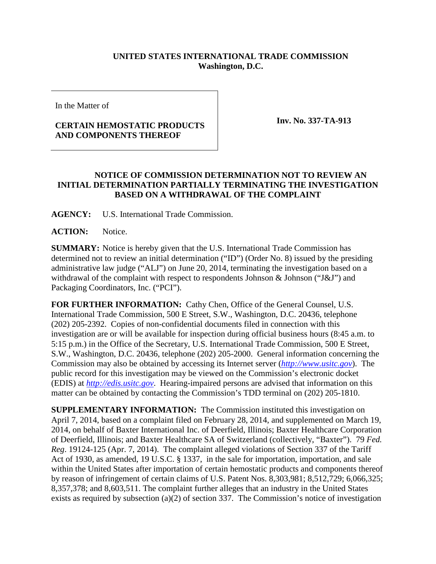## **UNITED STATES INTERNATIONAL TRADE COMMISSION Washington, D.C.**

In the Matter of

## **CERTAIN HEMOSTATIC PRODUCTS AND COMPONENTS THEREOF**

**Inv. No. 337-TA-913**

## **NOTICE OF COMMISSION DETERMINATION NOT TO REVIEW AN INITIAL DETERMINATION PARTIALLY TERMINATING THE INVESTIGATION BASED ON A WITHDRAWAL OF THE COMPLAINT**

**AGENCY:** U.S. International Trade Commission.

ACTION: Notice.

**SUMMARY:** Notice is hereby given that the U.S. International Trade Commission has determined not to review an initial determination ("ID") (Order No. 8) issued by the presiding administrative law judge ("ALJ") on June 20, 2014, terminating the investigation based on a withdrawal of the complaint with respect to respondents Johnson  $\&$  Johnson ("J $\&$ J") and Packaging Coordinators, Inc. ("PCI").

**FOR FURTHER INFORMATION:** Cathy Chen, Office of the General Counsel, U.S. International Trade Commission, 500 E Street, S.W., Washington, D.C. 20436, telephone (202) 205-2392. Copies of non-confidential documents filed in connection with this investigation are or will be available for inspection during official business hours (8:45 a.m. to 5:15 p.m.) in the Office of the Secretary, U.S. International Trade Commission, 500 E Street, S.W., Washington, D.C. 20436, telephone (202) 205-2000. General information concerning the Commission may also be obtained by accessing its Internet server (*[http://www.usitc.gov](http://www.usitc.gov/)*). The public record for this investigation may be viewed on the Commission's electronic docket (EDIS) at *[http://edis.usitc.gov](http://edis.usitc.gov/)*. Hearing-impaired persons are advised that information on this matter can be obtained by contacting the Commission's TDD terminal on (202) 205-1810.

**SUPPLEMENTARY INFORMATION:** The Commission instituted this investigation on April 7, 2014, based on a complaint filed on February 28, 2014, and supplemented on March 19, 2014, on behalf of Baxter International Inc. of Deerfield, Illinois; Baxter Healthcare Corporation of Deerfield, Illinois; and Baxter Healthcare SA of Switzerland (collectively, "Baxter"). 79 *Fed. Reg*. 19124-125 (Apr. 7, 2014). The complaint alleged violations of Section 337 of the Tariff Act of 1930, as amended, 19 U.S.C. § 1337, in the sale for importation, importation, and sale within the United States after importation of certain hemostatic products and components thereof by reason of infringement of certain claims of U.S. Patent Nos. 8,303,981; 8,512,729; 6,066,325; 8,357,378; and 8,603,511. The complaint further alleges that an industry in the United States exists as required by subsection (a)(2) of section 337. The Commission's notice of investigation